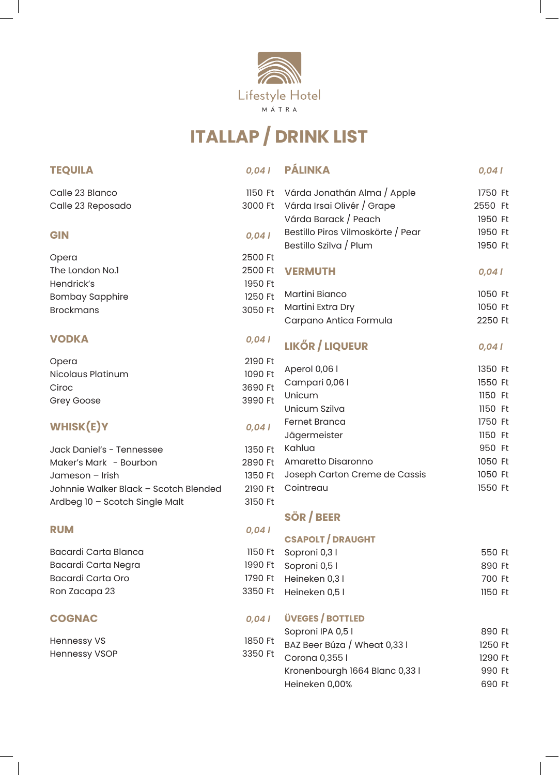

## **ITALLAP / DRINK LIST**

| <b>TEQUILA</b>                        | 0,041   | <b>PÁLINKA</b>                      | 0,041   |
|---------------------------------------|---------|-------------------------------------|---------|
| Calle 23 Blanco                       |         | 1150 Ft Várda Jonathán Alma / Apple | 1750 Ft |
| Calle 23 Reposado                     | 3000 Ft | Várda Irsai Olivér / Grape          | 2550 Ft |
|                                       |         | Várda Barack / Peach                | 1950 Ft |
| <b>GIN</b>                            | 0,041   | Bestillo Piros Vilmoskörte / Pear   | 1950 Ft |
|                                       |         | Bestillo Szilva / Plum              | 1950 Ft |
| Opera                                 | 2500 Ft |                                     |         |
| The London No.1                       | 2500 Ft | <b>VERMUTH</b>                      | 0,041   |
| Hendrick's                            | 1950 Ft |                                     |         |
| <b>Bombay Sapphire</b>                | 1250 Ft | Martini Bianco                      | 1050 Ft |
| <b>Brockmans</b>                      | 3050 Ft | Martini Extra Dry                   | 1050 Ft |
|                                       |         | Carpano Antica Formula              | 2250 Ft |
| <b>VODKA</b>                          | 0,041   | <b>LIKŐR / LIQUEUR</b>              | 0,041   |
| Opera                                 | 2190 Ft |                                     |         |
| <b>Nicolaus Platinum</b>              | 1090 Ft | Aperol 0,06 l                       | 1350 Ft |
| Ciroc                                 | 3690 Ft | Campari 0,06 l                      | 1550 Ft |
| Grey Goose                            | 3990 Ft | Unicum                              | 1150 Ft |
|                                       |         | Unicum Szilva                       | 1150 Ft |
| <b>WHISK(E)Y</b>                      | 0,041   | <b>Fernet Branca</b>                | 1750 Ft |
|                                       |         | Jägermeister                        | 1150 Ft |
| Jack Daniel's - Tennessee             | 1350 Ft | Kahlua                              | 950 Ft  |
| Maker's Mark - Bourbon                | 2890 Ft | Amaretto Disaronno                  | 1050 Ft |
| Jameson - Irish                       | 1350 Ft | Joseph Carton Creme de Cassis       | 1050 Ft |
| Johnnie Walker Black - Scotch Blended | 2190 Ft | Cointreau                           | 1550 Ft |
| Ardbeg 10 - Scotch Single Malt        | 3150 Ft |                                     |         |
|                                       |         | SÖR / BEER                          |         |
| <b>RUM</b>                            | 0,041   | <b>CSAPOLT / DRAUGHT</b>            |         |
| Bacardi Carta Blanca                  | 1150 Ft | Soproni 0,31                        | 550 Ft  |
| Bacardi Carta Negra                   | 1990 Ft | Soproni 0,5 l                       | 890 Ft  |
| <b>Bacardi Carta Oro</b>              | 1790 Ft | Heineken 0,31                       | 700 Ft  |
| Ron Zacapa 23                         | 3350 Ft | Heineken 0,5 l                      | 1150 Ft |
| <b>COGNAC</b>                         | 0,041   | <b>ÜVEGES / BOTTLED</b>             |         |
|                                       |         | Soproni IPA 0,5 l                   | 890 Ft  |
| <b>Hennessy VS</b>                    | 1850 Ft | BAZ Beer Búza / Wheat 0,33 I        | 1250 Ft |
| <b>Hennessy VSOP</b>                  | 3350 Ft | Corona 0,355 l                      | 1290 Ft |
|                                       |         | Kronenbourgh 1664 Blanc 0,33 l      | 990 Ft  |
|                                       |         | Heineken 0,00%                      | 690 Ft  |

 $\mathbb{R}$